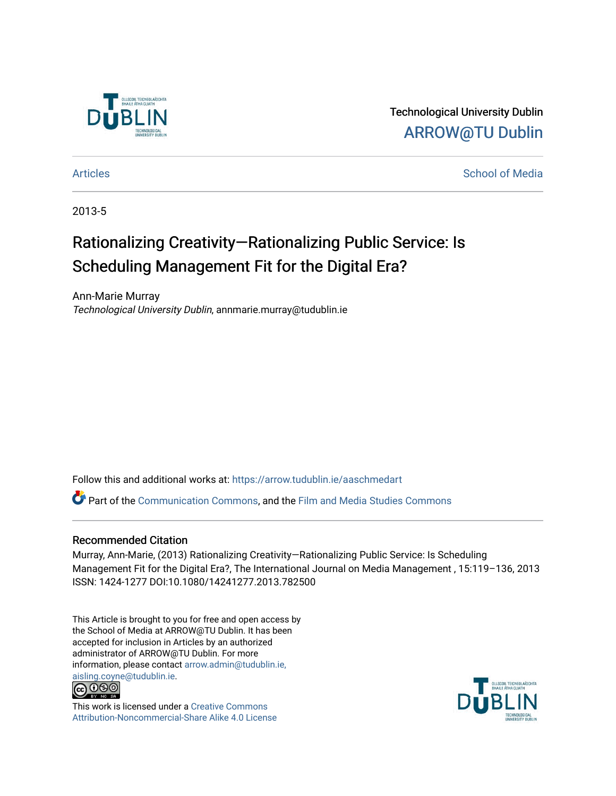

Technological University Dublin [ARROW@TU Dublin](https://arrow.tudublin.ie/) 

### [Articles](https://arrow.tudublin.ie/aaschmedart) **School of Media**

2013-5

# Rationalizing Creativity—Rationalizing Public Service: Is Scheduling Management Fit for the Digital Era?

Ann-Marie Murray Technological University Dublin, annmarie.murray@tudublin.ie

Follow this and additional works at: [https://arrow.tudublin.ie/aaschmedart](https://arrow.tudublin.ie/aaschmedart?utm_source=arrow.tudublin.ie%2Faaschmedart%2F83&utm_medium=PDF&utm_campaign=PDFCoverPages) 

Part of the [Communication Commons,](http://network.bepress.com/hgg/discipline/325?utm_source=arrow.tudublin.ie%2Faaschmedart%2F83&utm_medium=PDF&utm_campaign=PDFCoverPages) and the [Film and Media Studies Commons](http://network.bepress.com/hgg/discipline/563?utm_source=arrow.tudublin.ie%2Faaschmedart%2F83&utm_medium=PDF&utm_campaign=PDFCoverPages)

### Recommended Citation

Murray, Ann-Marie, (2013) Rationalizing Creativity—Rationalizing Public Service: Is Scheduling Management Fit for the Digital Era?, The International Journal on Media Management , 15:119–136, 2013 ISSN: 1424-1277 DOI:10.1080/14241277.2013.782500

This Article is brought to you for free and open access by the School of Media at ARROW@TU Dublin. It has been accepted for inclusion in Articles by an authorized administrator of ARROW@TU Dublin. For more information, please contact [arrow.admin@tudublin.ie,](mailto:arrow.admin@tudublin.ie,%20aisling.coyne@tudublin.ie)  [aisling.coyne@tudublin.ie.](mailto:arrow.admin@tudublin.ie,%20aisling.coyne@tudublin.ie)<br>@060



This work is licensed under a [Creative Commons](http://creativecommons.org/licenses/by-nc-sa/4.0/) [Attribution-Noncommercial-Share Alike 4.0 License](http://creativecommons.org/licenses/by-nc-sa/4.0/)

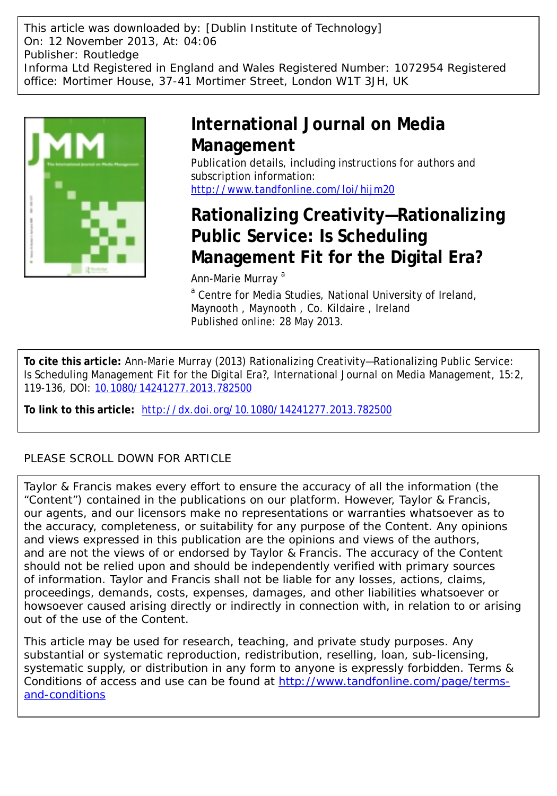This article was downloaded by: [Dublin Institute of Technology] On: 12 November 2013, At: 04:06 Publisher: Routledge Informa Ltd Registered in England and Wales Registered Number: 1072954 Registered office: Mortimer House, 37-41 Mortimer Street, London W1T 3JH, UK



# **International Journal on Media Management**

Publication details, including instructions for authors and subscription information: <http://www.tandfonline.com/loi/hijm20>

# **Rationalizing Creativity—Rationalizing Public Service: Is Scheduling Management Fit for the Digital Era?**

Ann-Marie Murray<sup>a</sup>

<sup>a</sup> Centre for Media Studies, National University of Ireland, Maynooth , Maynooth , Co. Kildaire , Ireland Published online: 28 May 2013.

**To cite this article:** Ann-Marie Murray (2013) Rationalizing Creativity—Rationalizing Public Service: Is Scheduling Management Fit for the Digital Era?, International Journal on Media Management, 15:2, 119-136, DOI: [10.1080/14241277.2013.782500](http://www.tandfonline.com/action/showCitFormats?doi=10.1080/14241277.2013.782500)

**To link to this article:** <http://dx.doi.org/10.1080/14241277.2013.782500>

## PLEASE SCROLL DOWN FOR ARTICLE

Taylor & Francis makes every effort to ensure the accuracy of all the information (the "Content") contained in the publications on our platform. However, Taylor & Francis, our agents, and our licensors make no representations or warranties whatsoever as to the accuracy, completeness, or suitability for any purpose of the Content. Any opinions and views expressed in this publication are the opinions and views of the authors, and are not the views of or endorsed by Taylor & Francis. The accuracy of the Content should not be relied upon and should be independently verified with primary sources of information. Taylor and Francis shall not be liable for any losses, actions, claims, proceedings, demands, costs, expenses, damages, and other liabilities whatsoever or howsoever caused arising directly or indirectly in connection with, in relation to or arising out of the use of the Content.

This article may be used for research, teaching, and private study purposes. Any substantial or systematic reproduction, redistribution, reselling, loan, sub-licensing, systematic supply, or distribution in any form to anyone is expressly forbidden. Terms & Conditions of access and use can be found at [http://www.tandfonline.com/page/terms](http://www.tandfonline.com/page/terms-and-conditions)[and-conditions](http://www.tandfonline.com/page/terms-and-conditions)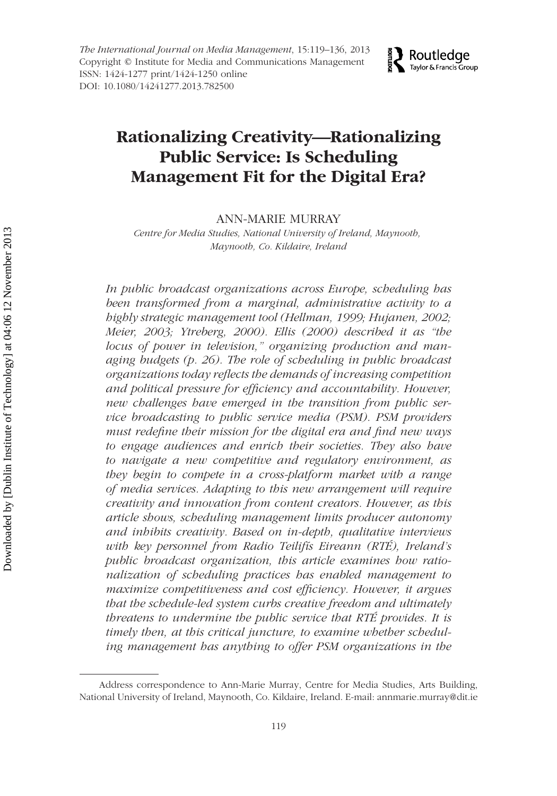# **Rationalizing Creativity—Rationalizing Public Service: Is Scheduling Management Fit for the Digital Era?**

ANN-MARIE MURRAY

*Centre for Media Studies, National University of Ireland, Maynooth, Maynooth, Co. Kildaire, Ireland*

*In public broadcast organizations across Europe, scheduling has been transformed from a marginal, administrative activity to a highly strategic management tool (Hellman, 1999; Hujanen, 2002; Meier, 2003; Ytreberg, 2000). Ellis (2000) described it as "the locus of power in television," organizing production and managing budgets (p. 26). The role of scheduling in public broadcast organizations today reflects the demands of increasing competition and political pressure for efficiency and accountability. However, new challenges have emerged in the transition from public service broadcasting to public service media (PSM). PSM providers must redefine their mission for the digital era and find new ways to engage audiences and enrich their societies. They also have to navigate a new competitive and regulatory environment, as they begin to compete in a cross-platform market with a range of media services. Adapting to this new arrangement will require creativity and innovation from content creators. However, as this article shows, scheduling management limits producer autonomy and inhibits creativity. Based on in-depth, qualitative interviews with key personnel from Radio Teilifís Eireann (RTÉ), Ireland's public broadcast organization, this article examines how rationalization of scheduling practices has enabled management to maximize competitiveness and cost efficiency. However, it argues that the schedule-led system curbs creative freedom and ultimately threatens to undermine the public service that RTÉ provides. It is timely then, at this critical juncture, to examine whether scheduling management has anything to offer PSM organizations in the*

Address correspondence to Ann-Marie Murray, Centre for Media Studies, Arts Building, National University of Ireland, Maynooth, Co. Kildaire, Ireland. E-mail: annmarie.murray@dit.ie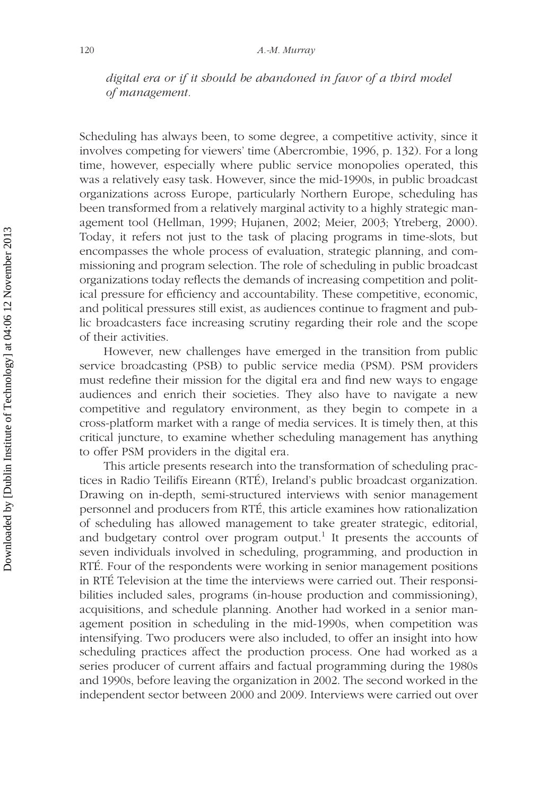*digital era or if it should be abandoned in favor of a third model of management.*

Scheduling has always been, to some degree, a competitive activity, since it involves competing for viewers' time (Abercrombie, 1996, p. 132). For a long time, however, especially where public service monopolies operated, this was a relatively easy task. However, since the mid-1990s, in public broadcast organizations across Europe, particularly Northern Europe, scheduling has been transformed from a relatively marginal activity to a highly strategic management tool (Hellman, 1999; Hujanen, 2002; Meier, 2003; Ytreberg, 2000). Today, it refers not just to the task of placing programs in time-slots, but encompasses the whole process of evaluation, strategic planning, and commissioning and program selection. The role of scheduling in public broadcast organizations today reflects the demands of increasing competition and political pressure for efficiency and accountability. These competitive, economic, and political pressures still exist, as audiences continue to fragment and public broadcasters face increasing scrutiny regarding their role and the scope of their activities.

However, new challenges have emerged in the transition from public service broadcasting (PSB) to public service media (PSM). PSM providers must redefine their mission for the digital era and find new ways to engage audiences and enrich their societies. They also have to navigate a new competitive and regulatory environment, as they begin to compete in a cross-platform market with a range of media services. It is timely then, at this critical juncture, to examine whether scheduling management has anything to offer PSM providers in the digital era.

This article presents research into the transformation of scheduling practices in Radio Teilifís Eireann (RTÉ), Ireland's public broadcast organization. Drawing on in-depth, semi-structured interviews with senior management personnel and producers from RTÉ, this article examines how rationalization of scheduling has allowed management to take greater strategic, editorial, and budgetary control over program output.<sup>1</sup> It presents the accounts of seven individuals involved in scheduling, programming, and production in RTÉ. Four of the respondents were working in senior management positions in RTÉ Television at the time the interviews were carried out. Their responsibilities included sales, programs (in-house production and commissioning), acquisitions, and schedule planning. Another had worked in a senior management position in scheduling in the mid-1990s, when competition was intensifying. Two producers were also included, to offer an insight into how scheduling practices affect the production process. One had worked as a series producer of current affairs and factual programming during the 1980s and 1990s, before leaving the organization in 2002. The second worked in the independent sector between 2000 and 2009. Interviews were carried out over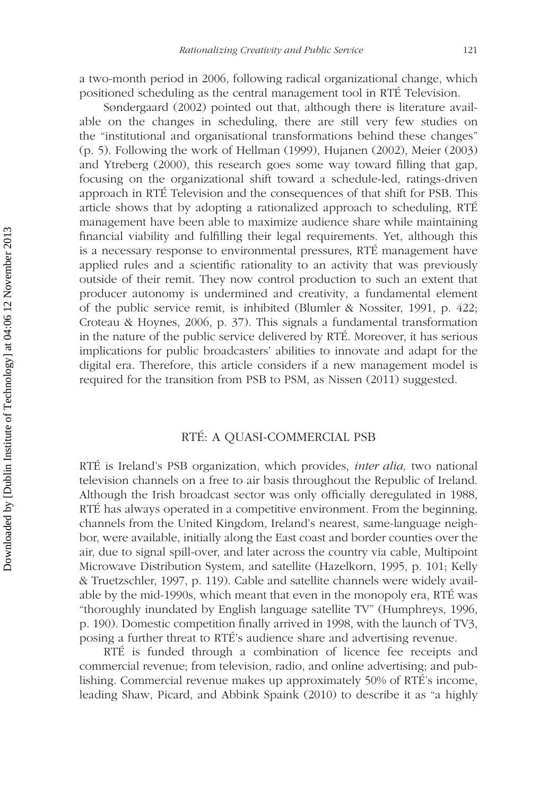a two-month period in 2006, following radical organizational change, which positioned scheduling as the central management tool in RTÉ Television.

Søndergaard (2002) pointed out that, although there is literature available on the changes in scheduling, there are still very few studies on the "institutional and organisational transformations behind these changes" (p. 5). Following the work of Hellman (1999), Hujanen (2002), Meier (2003) and Ytreberg (2000), this research goes some way toward filling that gap, focusing on the organizational shift toward a schedule-led, ratings-driven approach in RTÉ Television and the consequences of that shift for PSB. This article shows that by adopting a rationalized approach to scheduling, RTÉ management have been able to maximize audience share while maintaining financial viability and fulfilling their legal requirements. Yet, although this is a necessary response to environmental pressures, RTÉ management have applied rules and a scientific rationality to an activity that was previously outside of their remit. They now control production to such an extent that producer autonomy is undermined and creativity, a fundamental element of the public service remit, is inhibited (Blumler & Nossiter, 1991, p. 422; Croteau & Hoynes, 2006, p. 37). This signals a fundamental transformation in the nature of the public service delivered by RTÉ. Moreover, it has serious implications for public broadcasters' abilities to innovate and adapt for the digital era. Therefore, this article considers if a new management model is required for the transition from PSB to PSM, as Nissen (2011) suggested.

### RTÉ: A QUASI-COMMERCIAL PSB

RTÉ is Ireland's PSB organization, which provides, *inter alia,* two national television channels on a free to air basis throughout the Republic of Ireland. Although the Irish broadcast sector was only officially deregulated in 1988, RTÉ has always operated in a competitive environment. From the beginning, channels from the United Kingdom, Ireland's nearest, same-language neighbor, were available, initially along the East coast and border counties over the air, due to signal spill-over, and later across the country via cable, Multipoint Microwave Distribution System, and satellite (Hazelkorn, 1995, p. 101; Kelly & Truetzschler, 1997, p. 119). Cable and satellite channels were widely available by the mid-1990s, which meant that even in the monopoly era, RTÉ was "thoroughly inundated by English language satellite TV" (Humphreys, 1996, p. 190). Domestic competition finally arrived in 1998, with the launch of TV3, posing a further threat to RTÉ's audience share and advertising revenue.

RTÉ is funded through a combination of licence fee receipts and commercial revenue; from television, radio, and online advertising; and publishing. Commercial revenue makes up approximately 50% of RTÉ's income, leading Shaw, Picard, and Abbink Spaink (2010) to describe it as "a highly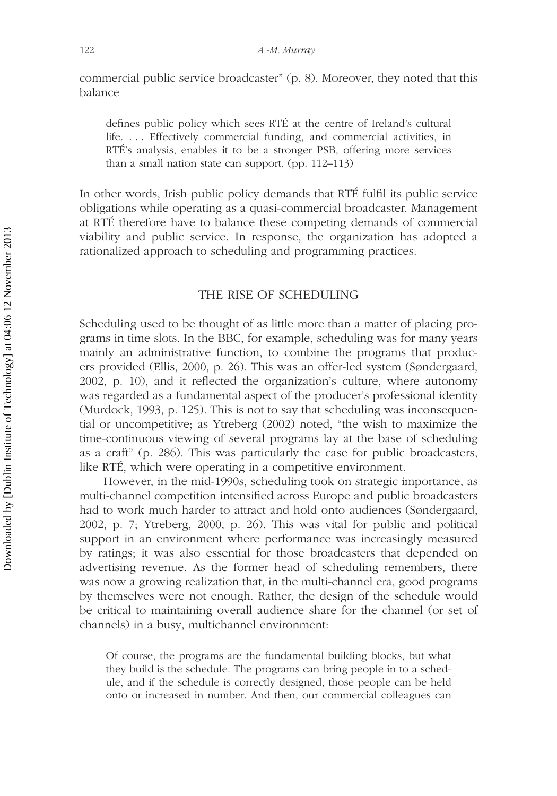commercial public service broadcaster" (p. 8). Moreover, they noted that this balance

defines public policy which sees RTÉ at the centre of Ireland's cultural life. *...* Effectively commercial funding, and commercial activities, in RTÉ's analysis, enables it to be a stronger PSB, offering more services than a small nation state can support. (pp. 112–113)

In other words, Irish public policy demands that RTÉ fulfil its public service obligations while operating as a quasi-commercial broadcaster. Management at RTÉ therefore have to balance these competing demands of commercial viability and public service. In response, the organization has adopted a rationalized approach to scheduling and programming practices.

#### THE RISE OF SCHEDULING

Scheduling used to be thought of as little more than a matter of placing programs in time slots. In the BBC, for example, scheduling was for many years mainly an administrative function, to combine the programs that producers provided (Ellis, 2000, p. 26). This was an offer-led system (Søndergaard, 2002, p. 10), and it reflected the organization's culture, where autonomy was regarded as a fundamental aspect of the producer's professional identity (Murdock, 1993, p. 125). This is not to say that scheduling was inconsequential or uncompetitive; as Ytreberg (2002) noted, "the wish to maximize the time-continuous viewing of several programs lay at the base of scheduling as a craft" (p. 286). This was particularly the case for public broadcasters, like RTÉ, which were operating in a competitive environment.

However, in the mid-1990s, scheduling took on strategic importance, as multi-channel competition intensified across Europe and public broadcasters had to work much harder to attract and hold onto audiences (Søndergaard, 2002, p. 7; Ytreberg, 2000, p. 26). This was vital for public and political support in an environment where performance was increasingly measured by ratings; it was also essential for those broadcasters that depended on advertising revenue. As the former head of scheduling remembers, there was now a growing realization that, in the multi-channel era, good programs by themselves were not enough. Rather, the design of the schedule would be critical to maintaining overall audience share for the channel (or set of channels) in a busy, multichannel environment:

Of course, the programs are the fundamental building blocks, but what they build is the schedule. The programs can bring people in to a schedule, and if the schedule is correctly designed, those people can be held onto or increased in number. And then, our commercial colleagues can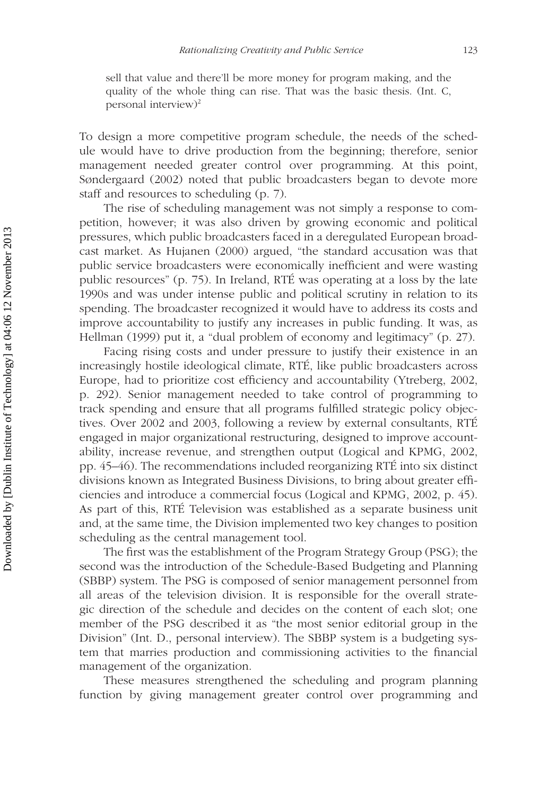sell that value and there'll be more money for program making, and the quality of the whole thing can rise. That was the basic thesis. (Int. C, personal interview)2

To design a more competitive program schedule, the needs of the schedule would have to drive production from the beginning; therefore, senior management needed greater control over programming. At this point, Søndergaard (2002) noted that public broadcasters began to devote more staff and resources to scheduling (p. 7).

The rise of scheduling management was not simply a response to competition, however; it was also driven by growing economic and political pressures, which public broadcasters faced in a deregulated European broadcast market. As Hujanen (2000) argued, "the standard accusation was that public service broadcasters were economically inefficient and were wasting public resources" (p. 75). In Ireland, RTÉ was operating at a loss by the late 1990s and was under intense public and political scrutiny in relation to its spending. The broadcaster recognized it would have to address its costs and improve accountability to justify any increases in public funding. It was, as Hellman (1999) put it, a "dual problem of economy and legitimacy" (p. 27).

Facing rising costs and under pressure to justify their existence in an increasingly hostile ideological climate, RTÉ, like public broadcasters across Europe, had to prioritize cost efficiency and accountability (Ytreberg, 2002, p. 292). Senior management needed to take control of programming to track spending and ensure that all programs fulfilled strategic policy objectives. Over 2002 and 2003, following a review by external consultants, RTÉ engaged in major organizational restructuring, designed to improve accountability, increase revenue, and strengthen output (Logical and KPMG, 2002, pp. 45–46). The recommendations included reorganizing RTÉ into six distinct divisions known as Integrated Business Divisions, to bring about greater efficiencies and introduce a commercial focus (Logical and KPMG, 2002, p. 45). As part of this, RTÉ Television was established as a separate business unit and, at the same time, the Division implemented two key changes to position scheduling as the central management tool.

The first was the establishment of the Program Strategy Group (PSG); the second was the introduction of the Schedule-Based Budgeting and Planning (SBBP) system. The PSG is composed of senior management personnel from all areas of the television division. It is responsible for the overall strategic direction of the schedule and decides on the content of each slot; one member of the PSG described it as "the most senior editorial group in the Division" (Int. D., personal interview). The SBBP system is a budgeting system that marries production and commissioning activities to the financial management of the organization.

These measures strengthened the scheduling and program planning function by giving management greater control over programming and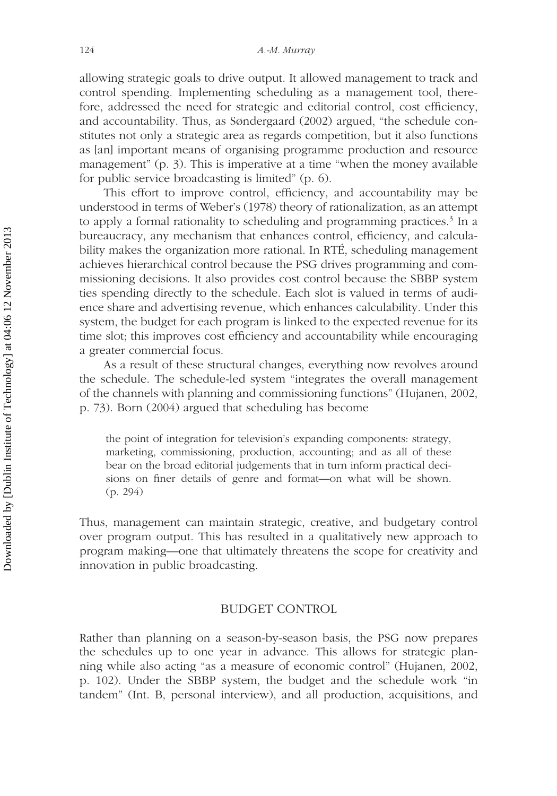allowing strategic goals to drive output. It allowed management to track and control spending. Implementing scheduling as a management tool, therefore, addressed the need for strategic and editorial control, cost efficiency, and accountability. Thus, as Søndergaard (2002) argued, "the schedule constitutes not only a strategic area as regards competition, but it also functions as [an] important means of organising programme production and resource management" (p. 3). This is imperative at a time "when the money available for public service broadcasting is limited" (p. 6).

This effort to improve control, efficiency, and accountability may be understood in terms of Weber's (1978) theory of rationalization, as an attempt to apply a formal rationality to scheduling and programming practices.<sup>3</sup> In a bureaucracy, any mechanism that enhances control, efficiency, and calculability makes the organization more rational. In RTÉ, scheduling management achieves hierarchical control because the PSG drives programming and commissioning decisions. It also provides cost control because the SBBP system ties spending directly to the schedule. Each slot is valued in terms of audience share and advertising revenue, which enhances calculability. Under this system, the budget for each program is linked to the expected revenue for its time slot; this improves cost efficiency and accountability while encouraging a greater commercial focus.

As a result of these structural changes, everything now revolves around the schedule. The schedule-led system "integrates the overall management of the channels with planning and commissioning functions" (Hujanen, 2002, p. 73). Born (2004) argued that scheduling has become

the point of integration for television's expanding components: strategy, marketing, commissioning, production, accounting; and as all of these bear on the broad editorial judgements that in turn inform practical decisions on finer details of genre and format—on what will be shown. (p. 294)

Thus, management can maintain strategic, creative, and budgetary control over program output. This has resulted in a qualitatively new approach to program making—one that ultimately threatens the scope for creativity and innovation in public broadcasting.

### BUDGET CONTROL

Rather than planning on a season-by-season basis, the PSG now prepares the schedules up to one year in advance. This allows for strategic planning while also acting "as a measure of economic control" (Hujanen, 2002, p. 102). Under the SBBP system, the budget and the schedule work "in tandem" (Int. B, personal interview), and all production, acquisitions, and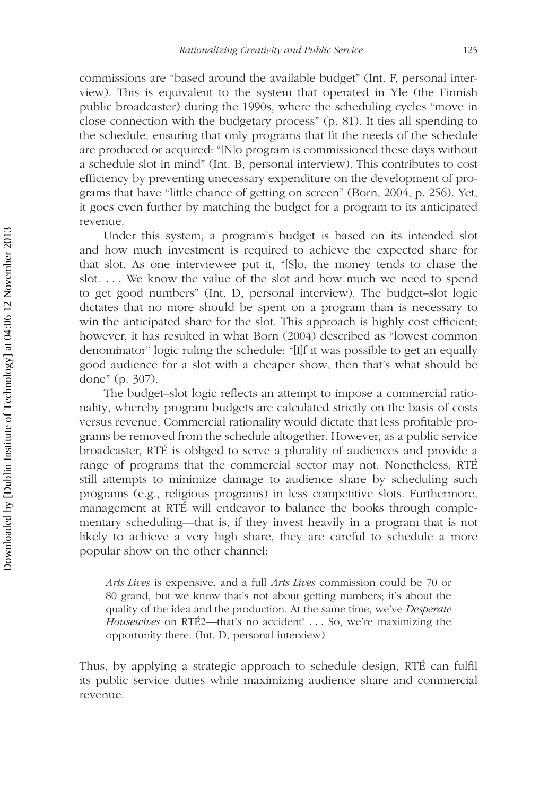commissions are "based around the available budget" (Int. F, personal interview). This is equivalent to the system that operated in Yle (the Finnish public broadcaster) during the 1990s, where the scheduling cycles "move in close connection with the budgetary process" (p. 81). It ties all spending to the schedule, ensuring that only programs that fit the needs of the schedule are produced or acquired: "[N]o program is commissioned these days without a schedule slot in mind" (Int. B, personal interview). This contributes to cost efficiency by preventing unecessary expenditure on the development of programs that have "little chance of getting on screen" (Born, 2004, p. 256). Yet, it goes even further by matching the budget for a program to its anticipated revenue.

Under this system, a program's budget is based on its intended slot and how much investment is required to achieve the expected share for that slot. As one interviewee put it, "[S]o, the money tends to chase the slot. *...* We know the value of the slot and how much we need to spend to get good numbers" (Int. D, personal interview). The budget–slot logic dictates that no more should be spent on a program than is necessary to win the anticipated share for the slot. This approach is highly cost efficient; however, it has resulted in what Born (2004) described as "lowest common denominator" logic ruling the schedule: "[I]f it was possible to get an equally good audience for a slot with a cheaper show, then that's what should be done" (p. 307).

The budget–slot logic reflects an attempt to impose a commercial rationality, whereby program budgets are calculated strictly on the basis of costs versus revenue. Commercial rationality would dictate that less profitable programs be removed from the schedule altogether. However, as a public service broadcaster, RTÉ is obliged to serve a plurality of audiences and provide a range of programs that the commercial sector may not. Nonetheless, RTÉ still attempts to minimize damage to audience share by scheduling such programs (e.g., religious programs) in less competitive slots. Furthermore, management at RTÉ will endeavor to balance the books through complementary scheduling—that is, if they invest heavily in a program that is not likely to achieve a very high share, they are careful to schedule a more popular show on the other channel:

*Arts Lives* is expensive, and a full *Arts Lives* commission could be 70 or 80 grand, but we know that's not about getting numbers; it's about the quality of the idea and the production. At the same time, we've *Desperate Housewives* on RTÉ2—that's no accident! *...* So, we're maximizing the opportunity there. (Int. D, personal interview)

Thus, by applying a strategic approach to schedule design, RTÉ can fulfil its public service duties while maximizing audience share and commercial revenue.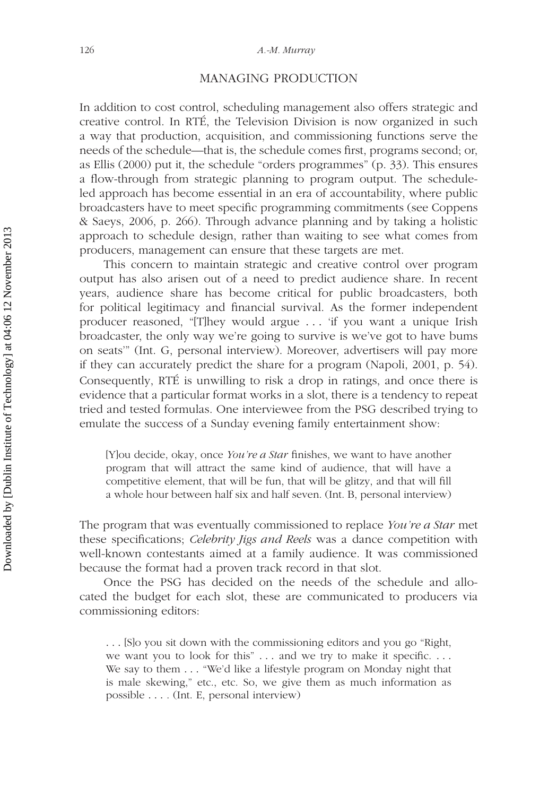#### MANAGING PRODUCTION

In addition to cost control, scheduling management also offers strategic and creative control. In RTÉ, the Television Division is now organized in such a way that production, acquisition, and commissioning functions serve the needs of the schedule—that is, the schedule comes first, programs second; or, as Ellis (2000) put it, the schedule "orders programmes" (p. 33). This ensures a flow-through from strategic planning to program output. The scheduleled approach has become essential in an era of accountability, where public broadcasters have to meet specific programming commitments (see Coppens & Saeys, 2006, p. 266). Through advance planning and by taking a holistic approach to schedule design, rather than waiting to see what comes from producers, management can ensure that these targets are met.

This concern to maintain strategic and creative control over program output has also arisen out of a need to predict audience share. In recent years, audience share has become critical for public broadcasters, both for political legitimacy and financial survival. As the former independent producer reasoned, "[T]hey would argue *...* 'if you want a unique Irish broadcaster, the only way we're going to survive is we've got to have bums on seats'" (Int. G, personal interview). Moreover, advertisers will pay more if they can accurately predict the share for a program (Napoli, 2001, p. 54). Consequently, RTÉ is unwilling to risk a drop in ratings, and once there is evidence that a particular format works in a slot, there is a tendency to repeat tried and tested formulas. One interviewee from the PSG described trying to emulate the success of a Sunday evening family entertainment show:

[Y]ou decide, okay, once *You're a Star* finishes, we want to have another program that will attract the same kind of audience, that will have a competitive element, that will be fun, that will be glitzy, and that will fill a whole hour between half six and half seven. (Int. B, personal interview)

The program that was eventually commissioned to replace *You're a Star* met these specifications; *Celebrity Jigs and Reels* was a dance competition with well-known contestants aimed at a family audience. It was commissioned because the format had a proven track record in that slot.

Once the PSG has decided on the needs of the schedule and allocated the budget for each slot, these are communicated to producers via commissioning editors:

*...* [S]o you sit down with the commissioning editors and you go "Right, we want you to look for this" *...* and we try to make it specific. *...* We say to them *...* "We'd like a lifestyle program on Monday night that is male skewing," etc., etc. So, we give them as much information as possible *...* . (Int. E, personal interview)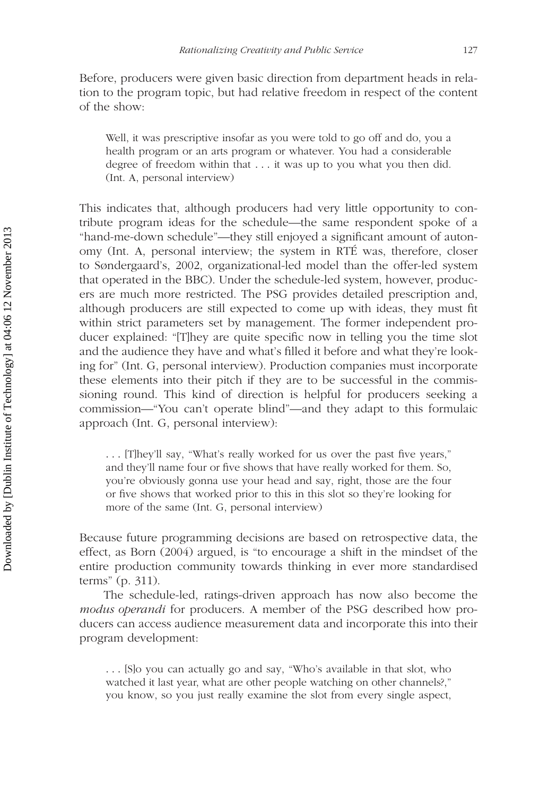Before, producers were given basic direction from department heads in relation to the program topic, but had relative freedom in respect of the content of the show:

Well, it was prescriptive insofar as you were told to go off and do, you a health program or an arts program or whatever. You had a considerable degree of freedom within that *...* it was up to you what you then did. (Int. A, personal interview)

This indicates that, although producers had very little opportunity to contribute program ideas for the schedule—the same respondent spoke of a "hand-me-down schedule"—they still enjoyed a significant amount of autonomy (Int. A, personal interview; the system in RTÉ was, therefore, closer to Søndergaard's, 2002, organizational-led model than the offer-led system that operated in the BBC). Under the schedule-led system, however, producers are much more restricted. The PSG provides detailed prescription and, although producers are still expected to come up with ideas, they must fit within strict parameters set by management. The former independent producer explained: "[T]hey are quite specific now in telling you the time slot and the audience they have and what's filled it before and what they're looking for" (Int. G, personal interview). Production companies must incorporate these elements into their pitch if they are to be successful in the commissioning round. This kind of direction is helpful for producers seeking a commission—"You can't operate blind"—and they adapt to this formulaic approach (Int. G, personal interview):

*...* [T]hey'll say, "What's really worked for us over the past five years," and they'll name four or five shows that have really worked for them. So, you're obviously gonna use your head and say, right, those are the four or five shows that worked prior to this in this slot so they're looking for more of the same (Int. G, personal interview)

Because future programming decisions are based on retrospective data, the effect, as Born (2004) argued, is "to encourage a shift in the mindset of the entire production community towards thinking in ever more standardised terms" (p. 311).

The schedule-led, ratings-driven approach has now also become the *modus operandi* for producers. A member of the PSG described how producers can access audience measurement data and incorporate this into their program development:

*...* [S]o you can actually go and say, "Who's available in that slot, who watched it last year, what are other people watching on other channels?," you know, so you just really examine the slot from every single aspect,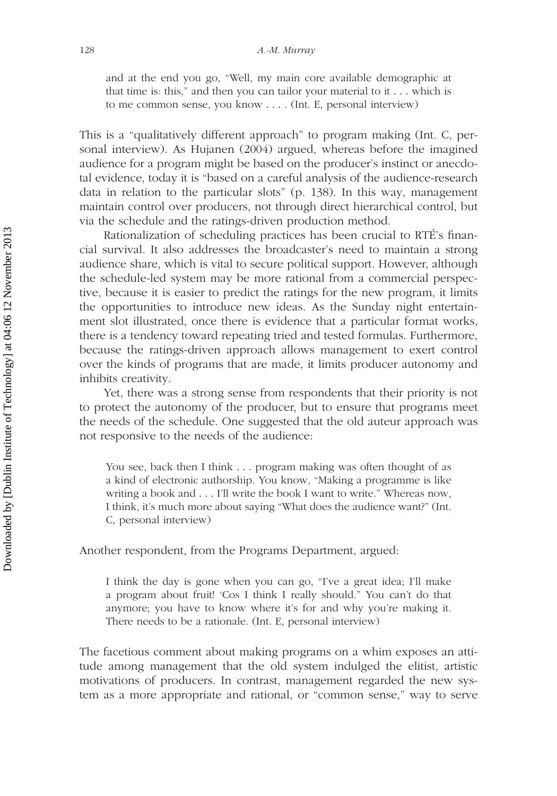and at the end you go, "Well, my main core available demographic at that time is: this," and then you can tailor your material to it *...* which is to me common sense, you know *...* . (Int. E, personal interview)

This is a "qualitatively different approach" to program making (Int. C, personal interview). As Hujanen (2004) argued, whereas before the imagined audience for a program might be based on the producer's instinct or anecdotal evidence, today it is "based on a careful analysis of the audience-research data in relation to the particular slots" (p. 138). In this way, management maintain control over producers, not through direct hierarchical control, but via the schedule and the ratings-driven production method.

Rationalization of scheduling practices has been crucial to RTÉ's financial survival. It also addresses the broadcaster's need to maintain a strong audience share, which is vital to secure political support. However, although the schedule-led system may be more rational from a commercial perspective, because it is easier to predict the ratings for the new program, it limits the opportunities to introduce new ideas. As the Sunday night entertainment slot illustrated, once there is evidence that a particular format works, there is a tendency toward repeating tried and tested formulas. Furthermore, because the ratings-driven approach allows management to exert control over the kinds of programs that are made, it limits producer autonomy and inhibits creativity.

Yet, there was a strong sense from respondents that their priority is not to protect the autonomy of the producer, but to ensure that programs meet the needs of the schedule. One suggested that the old auteur approach was not responsive to the needs of the audience:

You see, back then I think *...* program making was often thought of as a kind of electronic authorship. You know, "Making a programme is like writing a book and *...* I'll write the book I want to write." Whereas now, I think, it's much more about saying "What does the audience want?" (Int. C, personal interview)

Another respondent, from the Programs Department, argued:

I think the day is gone when you can go, "I've a great idea; I'll make a program about fruit! 'Cos I think I really should." You can't do that anymore; you have to know where it's for and why you're making it. There needs to be a rationale. (Int. E, personal interview)

The facetious comment about making programs on a whim exposes an attitude among management that the old system indulged the elitist, artistic motivations of producers. In contrast, management regarded the new system as a more appropriate and rational, or "common sense," way to serve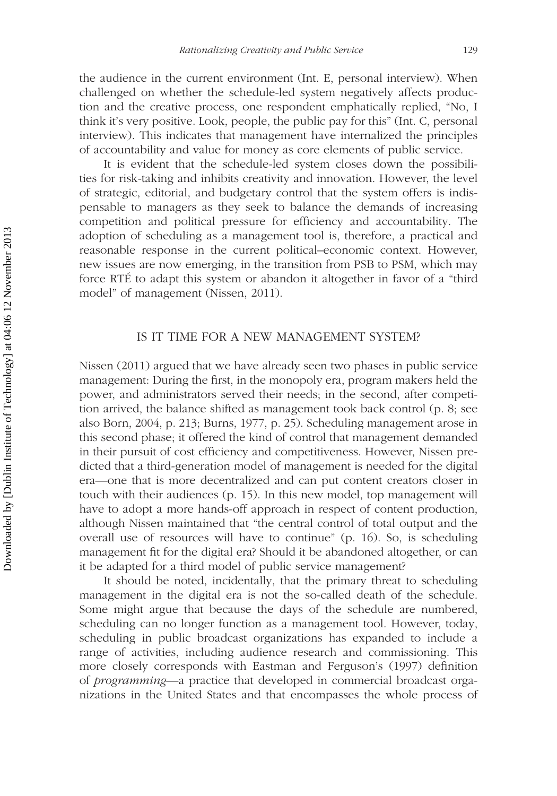the audience in the current environment (Int. E, personal interview). When challenged on whether the schedule-led system negatively affects production and the creative process, one respondent emphatically replied, "No, I think it's very positive. Look, people, the public pay for this" (Int. C, personal interview). This indicates that management have internalized the principles of accountability and value for money as core elements of public service.

It is evident that the schedule-led system closes down the possibilities for risk-taking and inhibits creativity and innovation. However, the level of strategic, editorial, and budgetary control that the system offers is indispensable to managers as they seek to balance the demands of increasing competition and political pressure for efficiency and accountability. The adoption of scheduling as a management tool is, therefore, a practical and reasonable response in the current political–economic context. However, new issues are now emerging, in the transition from PSB to PSM, which may force RTÉ to adapt this system or abandon it altogether in favor of a "third model" of management (Nissen, 2011).

### IS IT TIME FOR A NEW MANAGEMENT SYSTEM?

Nissen (2011) argued that we have already seen two phases in public service management: During the first, in the monopoly era, program makers held the power, and administrators served their needs; in the second, after competition arrived, the balance shifted as management took back control (p. 8; see also Born, 2004, p. 213; Burns, 1977, p. 25). Scheduling management arose in this second phase; it offered the kind of control that management demanded in their pursuit of cost efficiency and competitiveness. However, Nissen predicted that a third-generation model of management is needed for the digital era—one that is more decentralized and can put content creators closer in touch with their audiences (p. 15). In this new model, top management will have to adopt a more hands-off approach in respect of content production, although Nissen maintained that "the central control of total output and the overall use of resources will have to continue" (p. 16). So, is scheduling management fit for the digital era? Should it be abandoned altogether, or can it be adapted for a third model of public service management?

It should be noted, incidentally, that the primary threat to scheduling management in the digital era is not the so-called death of the schedule. Some might argue that because the days of the schedule are numbered, scheduling can no longer function as a management tool. However, today, scheduling in public broadcast organizations has expanded to include a range of activities, including audience research and commissioning. This more closely corresponds with Eastman and Ferguson's (1997) definition of *programming*—a practice that developed in commercial broadcast organizations in the United States and that encompasses the whole process of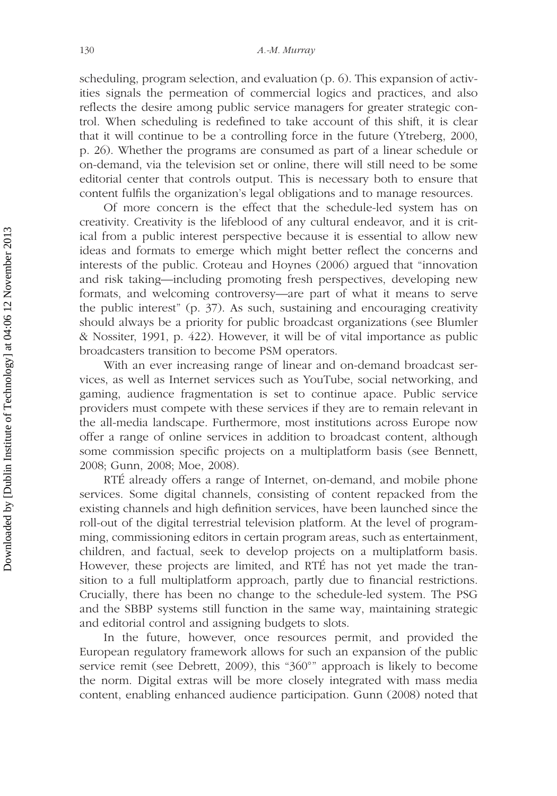scheduling, program selection, and evaluation (p. 6). This expansion of activities signals the permeation of commercial logics and practices, and also reflects the desire among public service managers for greater strategic control. When scheduling is redefined to take account of this shift, it is clear that it will continue to be a controlling force in the future (Ytreberg, 2000, p. 26). Whether the programs are consumed as part of a linear schedule or on-demand, via the television set or online, there will still need to be some editorial center that controls output. This is necessary both to ensure that content fulfils the organization's legal obligations and to manage resources.

Of more concern is the effect that the schedule-led system has on creativity. Creativity is the lifeblood of any cultural endeavor, and it is critical from a public interest perspective because it is essential to allow new ideas and formats to emerge which might better reflect the concerns and interests of the public. Croteau and Hoynes (2006) argued that "innovation and risk taking—including promoting fresh perspectives, developing new formats, and welcoming controversy—are part of what it means to serve the public interest" (p. 37). As such, sustaining and encouraging creativity should always be a priority for public broadcast organizations (see Blumler & Nossiter, 1991, p. 422). However, it will be of vital importance as public broadcasters transition to become PSM operators.

With an ever increasing range of linear and on-demand broadcast services, as well as Internet services such as YouTube, social networking, and gaming, audience fragmentation is set to continue apace. Public service providers must compete with these services if they are to remain relevant in the all-media landscape. Furthermore, most institutions across Europe now offer a range of online services in addition to broadcast content, although some commission specific projects on a multiplatform basis (see Bennett, 2008; Gunn, 2008; Moe, 2008).

RTÉ already offers a range of Internet, on-demand, and mobile phone services. Some digital channels, consisting of content repacked from the existing channels and high definition services, have been launched since the roll-out of the digital terrestrial television platform. At the level of programming, commissioning editors in certain program areas, such as entertainment, children, and factual, seek to develop projects on a multiplatform basis. However, these projects are limited, and RTÉ has not yet made the transition to a full multiplatform approach, partly due to financial restrictions. Crucially, there has been no change to the schedule-led system. The PSG and the SBBP systems still function in the same way, maintaining strategic and editorial control and assigning budgets to slots.

In the future, however, once resources permit, and provided the European regulatory framework allows for such an expansion of the public service remit (see Debrett, 2009), this "360◦ " approach is likely to become the norm. Digital extras will be more closely integrated with mass media content, enabling enhanced audience participation. Gunn (2008) noted that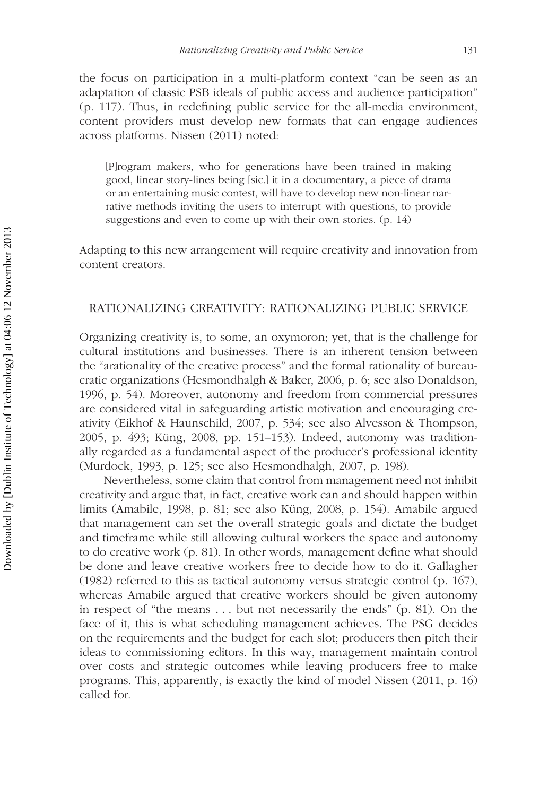the focus on participation in a multi-platform context "can be seen as an adaptation of classic PSB ideals of public access and audience participation" (p. 117). Thus, in redefining public service for the all-media environment, content providers must develop new formats that can engage audiences across platforms. Nissen (2011) noted:

[P]rogram makers, who for generations have been trained in making good, linear story-lines being [sic.] it in a documentary, a piece of drama or an entertaining music contest, will have to develop new non-linear narrative methods inviting the users to interrupt with questions, to provide suggestions and even to come up with their own stories. (p. 14)

Adapting to this new arrangement will require creativity and innovation from content creators.

#### RATIONALIZING CREATIVITY: RATIONALIZING PUBLIC SERVICE

Organizing creativity is, to some, an oxymoron; yet, that is the challenge for cultural institutions and businesses. There is an inherent tension between the "arationality of the creative process" and the formal rationality of bureaucratic organizations (Hesmondhalgh & Baker, 2006, p. 6; see also Donaldson, 1996, p. 54). Moreover, autonomy and freedom from commercial pressures are considered vital in safeguarding artistic motivation and encouraging creativity (Eikhof & Haunschild, 2007, p. 534; see also Alvesson & Thompson, 2005, p. 493; Küng, 2008, pp. 151–153). Indeed, autonomy was traditionally regarded as a fundamental aspect of the producer's professional identity (Murdock, 1993, p. 125; see also Hesmondhalgh, 2007, p. 198).

Nevertheless, some claim that control from management need not inhibit creativity and argue that, in fact, creative work can and should happen within limits (Amabile, 1998, p. 81; see also Küng, 2008, p. 154). Amabile argued that management can set the overall strategic goals and dictate the budget and timeframe while still allowing cultural workers the space and autonomy to do creative work (p. 81). In other words, management define what should be done and leave creative workers free to decide how to do it. Gallagher (1982) referred to this as tactical autonomy versus strategic control (p. 167), whereas Amabile argued that creative workers should be given autonomy in respect of "the means *...* but not necessarily the ends" (p. 81). On the face of it, this is what scheduling management achieves. The PSG decides on the requirements and the budget for each slot; producers then pitch their ideas to commissioning editors. In this way, management maintain control over costs and strategic outcomes while leaving producers free to make programs. This, apparently, is exactly the kind of model Nissen (2011, p. 16) called for.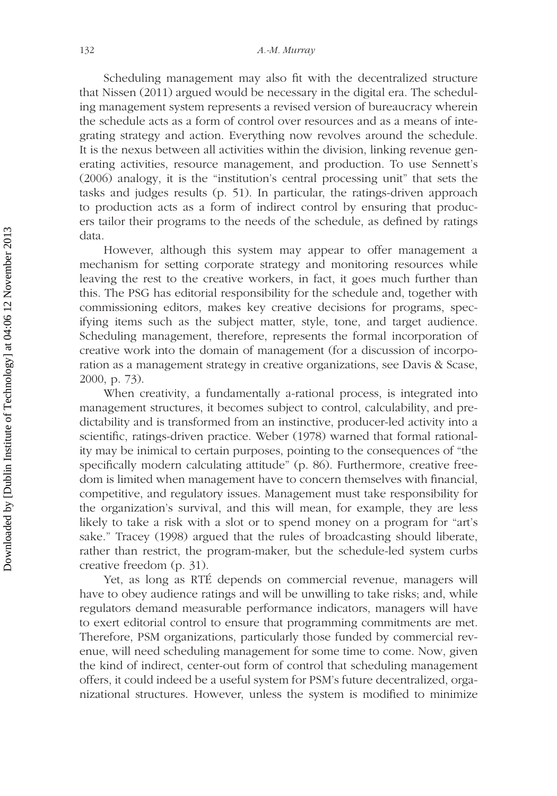Scheduling management may also fit with the decentralized structure that Nissen (2011) argued would be necessary in the digital era. The scheduling management system represents a revised version of bureaucracy wherein the schedule acts as a form of control over resources and as a means of integrating strategy and action. Everything now revolves around the schedule. It is the nexus between all activities within the division, linking revenue generating activities, resource management, and production. To use Sennett's (2006) analogy, it is the "institution's central processing unit" that sets the tasks and judges results (p. 51). In particular, the ratings-driven approach to production acts as a form of indirect control by ensuring that producers tailor their programs to the needs of the schedule, as defined by ratings data.

However, although this system may appear to offer management a mechanism for setting corporate strategy and monitoring resources while leaving the rest to the creative workers, in fact, it goes much further than this. The PSG has editorial responsibility for the schedule and, together with commissioning editors, makes key creative decisions for programs, specifying items such as the subject matter, style, tone, and target audience. Scheduling management, therefore, represents the formal incorporation of creative work into the domain of management (for a discussion of incorporation as a management strategy in creative organizations, see Davis & Scase, 2000, p. 73).

When creativity, a fundamentally a-rational process, is integrated into management structures, it becomes subject to control, calculability, and predictability and is transformed from an instinctive, producer-led activity into a scientific, ratings-driven practice. Weber (1978) warned that formal rationality may be inimical to certain purposes, pointing to the consequences of "the specifically modern calculating attitude" (p. 86). Furthermore, creative freedom is limited when management have to concern themselves with financial, competitive, and regulatory issues. Management must take responsibility for the organization's survival, and this will mean, for example, they are less likely to take a risk with a slot or to spend money on a program for "art's sake." Tracey (1998) argued that the rules of broadcasting should liberate, rather than restrict, the program-maker, but the schedule-led system curbs creative freedom (p. 31).

Yet, as long as RTÉ depends on commercial revenue, managers will have to obey audience ratings and will be unwilling to take risks; and, while regulators demand measurable performance indicators, managers will have to exert editorial control to ensure that programming commitments are met. Therefore, PSM organizations, particularly those funded by commercial revenue, will need scheduling management for some time to come. Now, given the kind of indirect, center-out form of control that scheduling management offers, it could indeed be a useful system for PSM's future decentralized, organizational structures. However, unless the system is modified to minimize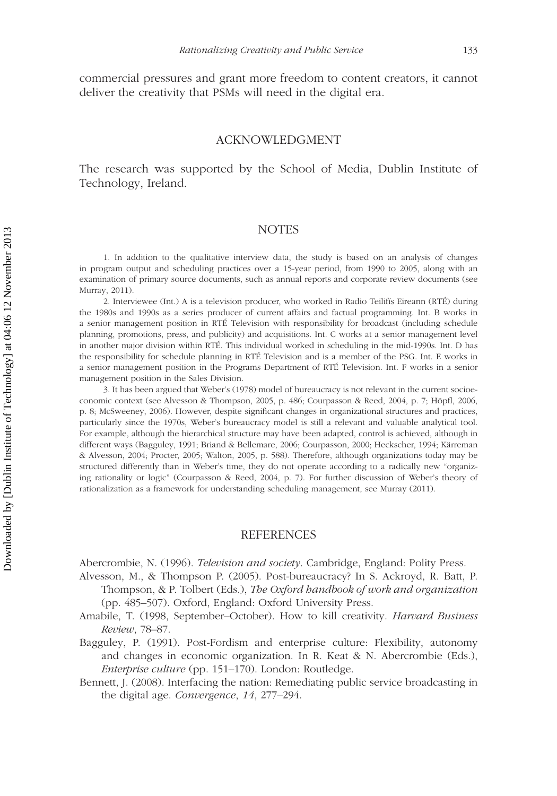commercial pressures and grant more freedom to content creators, it cannot deliver the creativity that PSMs will need in the digital era.

#### ACKNOWLEDGMENT

The research was supported by the School of Media, Dublin Institute of Technology, Ireland.

#### **NOTES**

1. In addition to the qualitative interview data, the study is based on an analysis of changes in program output and scheduling practices over a 15-year period, from 1990 to 2005, along with an examination of primary source documents, such as annual reports and corporate review documents (see Murray, 2011).

2. Interviewee (Int.) A is a television producer, who worked in Radio Teilifís Eireann (RTÉ) during the 1980s and 1990s as a series producer of current affairs and factual programming. Int. B works in a senior management position in RTÉ Television with responsibility for broadcast (including schedule planning, promotions, press, and publicity) and acquisitions. Int. C works at a senior management level in another major division within RTÉ. This individual worked in scheduling in the mid-1990s. Int. D has the responsibility for schedule planning in RTÉ Television and is a member of the PSG. Int. E works in a senior management position in the Programs Department of RTÉ Television. Int. F works in a senior management position in the Sales Division.

3. It has been argued that Weber's (1978) model of bureaucracy is not relevant in the current socioeconomic context (see Alvesson & Thompson, 2005, p. 486; Courpasson & Reed, 2004, p. 7; Höpfl, 2006, p. 8; McSweeney, 2006). However, despite significant changes in organizational structures and practices, particularly since the 1970s, Weber's bureaucracy model is still a relevant and valuable analytical tool. For example, although the hierarchical structure may have been adapted, control is achieved, although in different ways (Bagguley, 1991; Briand & Bellemare, 2006; Courpasson, 2000; Heckscher, 1994; Kärreman & Alvesson, 2004; Procter, 2005; Walton, 2005, p. 588). Therefore, although organizations today may be structured differently than in Weber's time, they do not operate according to a radically new "organizing rationality or logic" (Courpasson & Reed, 2004, p. 7). For further discussion of Weber's theory of rationalization as a framework for understanding scheduling management, see Murray (2011).

#### REFERENCES

Abercrombie, N. (1996). *Television and society*. Cambridge, England: Polity Press.

- Alvesson, M., & Thompson P. (2005). Post-bureaucracy? In S. Ackroyd, R. Batt, P. Thompson, & P. Tolbert (Eds.), *The Oxford handbook of work and organization* (pp. 485–507). Oxford, England: Oxford University Press.
- Amabile, T. (1998, September–October). How to kill creativity. *Harvard Business Review*, 78–87.
- Bagguley, P. (1991). Post-Fordism and enterprise culture: Flexibility, autonomy and changes in economic organization. In R. Keat & N. Abercrombie (Eds.), *Enterprise culture* (pp. 151–170). London: Routledge.
- Bennett, J. (2008). Interfacing the nation: Remediating public service broadcasting in the digital age. *Convergence*, *14*, 277–294.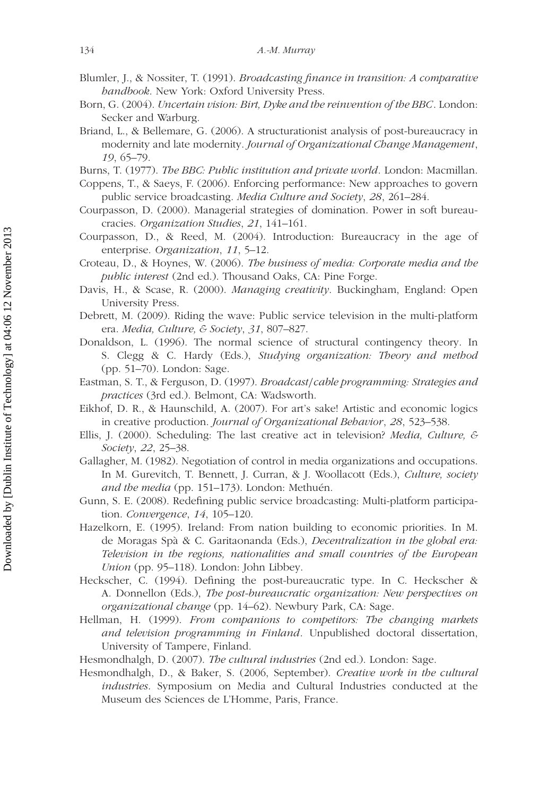- Blumler, J., & Nossiter, T. (1991). *Broadcasting finance in transition: A comparative handbook*. New York: Oxford University Press.
- Born, G. (2004). *Uncertain vision: Birt, Dyke and the reinvention of the BBC*. London: Secker and Warburg.
- Briand, L., & Bellemare, G. (2006). A structurationist analysis of post-bureaucracy in modernity and late modernity. *Journal of Organizational Change Management*, *19*, 65–79.

Burns, T. (1977). *The BBC: Public institution and private world*. London: Macmillan.

- Coppens, T., & Saeys, F. (2006). Enforcing performance: New approaches to govern public service broadcasting. *Media Culture and Society*, *28*, 261–284.
- Courpasson, D. (2000). Managerial strategies of domination. Power in soft bureaucracies. *Organization Studies*, *21*, 141–161.
- Courpasson, D., & Reed, M. (2004). Introduction: Bureaucracy in the age of enterprise. *Organization*, *11*, 5–12.
- Croteau, D., & Hoynes, W. (2006). *The business of media: Corporate media and the public interest* (2nd ed.). Thousand Oaks, CA: Pine Forge.
- Davis, H., & Scase, R. (2000). *Managing creativity*. Buckingham, England: Open University Press.
- Debrett, M. (2009). Riding the wave: Public service television in the multi-platform era. *Media, Culture, & Society*, *31*, 807–827.
- Donaldson, L. (1996). The normal science of structural contingency theory. In S. Clegg & C. Hardy (Eds.), *Studying organization: Theory and method* (pp. 51–70). London: Sage.
- Eastman, S. T., & Ferguson, D. (1997). *Broadcast/cable programming: Strategies and practices* (3rd ed.). Belmont, CA: Wadsworth.
- Eikhof, D. R., & Haunschild, A. (2007). For art's sake! Artistic and economic logics in creative production. *Journal of Organizational Behavior*, *28*, 523–538.
- Ellis, J. (2000). Scheduling: The last creative act in television? *Media, Culture, & Society*, *22*, 25–38.
- Gallagher, M. (1982). Negotiation of control in media organizations and occupations. In M. Gurevitch, T. Bennett, J. Curran, & J. Woollacott (Eds.), *Culture, society and the media* (pp. 151–173). London: Methuén.
- Gunn, S. E. (2008). Redefining public service broadcasting: Multi-platform participation. *Convergence*, *14*, 105–120.
- Hazelkorn, E. (1995). Ireland: From nation building to economic priorities. In M. de Moragas Spà & C. Garitaonanda (Eds.), *Decentralization in the global era: Television in the regions, nationalities and small countries of the European Union* (pp. 95–118). London: John Libbey.
- Heckscher, C. (1994). Defining the post-bureaucratic type. In C. Heckscher & A. Donnellon (Eds.), *The post-bureaucratic organization: New perspectives on organizational change* (pp. 14–62). Newbury Park, CA: Sage.
- Hellman, H. (1999). *From companions to competitors: The changing markets and television programming in Finland*. Unpublished doctoral dissertation, University of Tampere, Finland.
- Hesmondhalgh, D. (2007). *The cultural industries* (2nd ed.). London: Sage.
- Hesmondhalgh, D., & Baker, S. (2006, September). *Creative work in the cultural industries*. Symposium on Media and Cultural Industries conducted at the Museum des Sciences de L'Homme, Paris, France.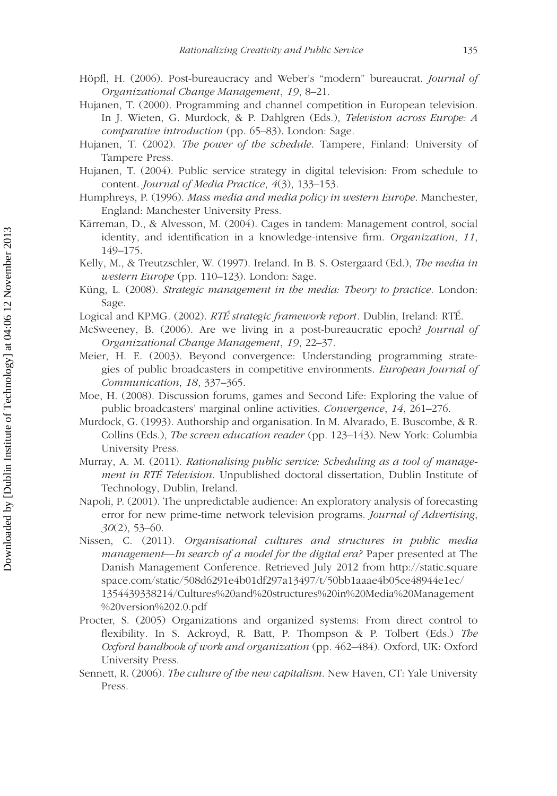- Höpfl, H. (2006). Post-bureaucracy and Weber's "modern" bureaucrat. *Journal of Organizational Change Management*, *19*, 8–21.
- Hujanen, T. (2000). Programming and channel competition in European television. In J. Wieten, G. Murdock, & P. Dahlgren (Eds.), *Television across Europe: A comparative introduction* (pp. 65–83). London: Sage.
- Hujanen, T. (2002). *The power of the schedule*. Tampere, Finland: University of Tampere Press.
- Hujanen, T. (2004). Public service strategy in digital television: From schedule to content. *Journal of Media Practice*, *4*(3), 133–153.
- Humphreys, P. (1996). *Mass media and media policy in western Europe*. Manchester, England: Manchester University Press.
- Kärreman, D., & Alvesson, M. (2004). Cages in tandem: Management control, social identity, and identification in a knowledge-intensive firm. *Organization*, *11*, 149–175.
- Kelly, M., & Treutzschler, W. (1997). Ireland. In B. S. Ostergaard (Ed.), *The media in western Europe* (pp. 110–123). London: Sage.
- Küng, L. (2008). *Strategic management in the media: Theory to practice*. London: Sage.
- Logical and KPMG. (2002). *RTÉ strategic framework report*. Dublin, Ireland: RTÉ.
- McSweeney, B. (2006). Are we living in a post-bureaucratic epoch? *Journal of Organizational Change Management*, *19*, 22–37.
- Meier, H. E. (2003). Beyond convergence: Understanding programming strategies of public broadcasters in competitive environments. *European Journal of Communication*, *18*, 337–365.
- Moe, H. (2008). Discussion forums, games and Second Life: Exploring the value of public broadcasters' marginal online activities. *Convergence*, *14*, 261–276.
- Murdock, G. (1993). Authorship and organisation. In M. Alvarado, E. Buscombe, & R. Collins (Eds.), *The screen education reader* (pp. 123–143). New York: Columbia University Press.
- Murray, A. M. (2011). *Rationalising public service: Scheduling as a tool of management in RTÉ Television*. Unpublished doctoral dissertation, Dublin Institute of Technology, Dublin, Ireland.
- Napoli, P. (2001). The unpredictable audience: An exploratory analysis of forecasting error for new prime-time network television programs. *Journal of Advertising*, *30*(2), 53–60.
- Nissen, C. (2011). *Organisational cultures and structures in public media management—In search of a model for the digital era?* Paper presented at The Danish Management Conference. Retrieved July 2012 from http://static.square space.com/static/508d6291e4b01df297a13497/t/50bb1aaae4b05ce48944e1ec/ 1354439338214/Cultures%20and%20structures%20in%20Media%20Management %20version%202.0.pdf
- Procter, S. (2005) Organizations and organized systems: From direct control to flexibility. In S. Ackroyd, R. Batt, P. Thompson & P. Tolbert (Eds.) *The Oxford handbook of work and organization* (pp. 462–484). Oxford, UK: Oxford University Press.
- Sennett, R. (2006). *The culture of the new capitalism*. New Haven, CT: Yale University Press.